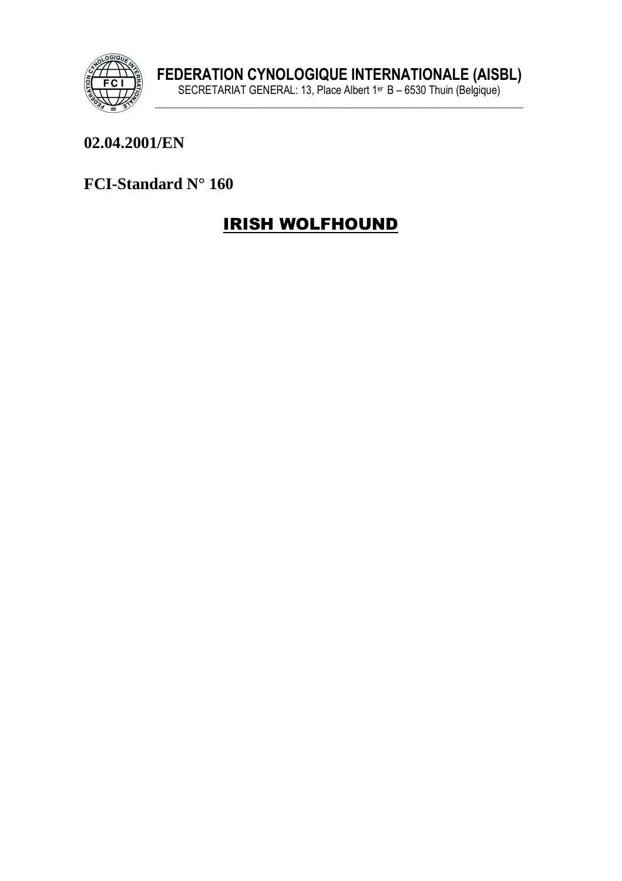

#### 02.04.2001/EN

#### FCI-Standard N° 160

# **IRISH WOLFHOUND**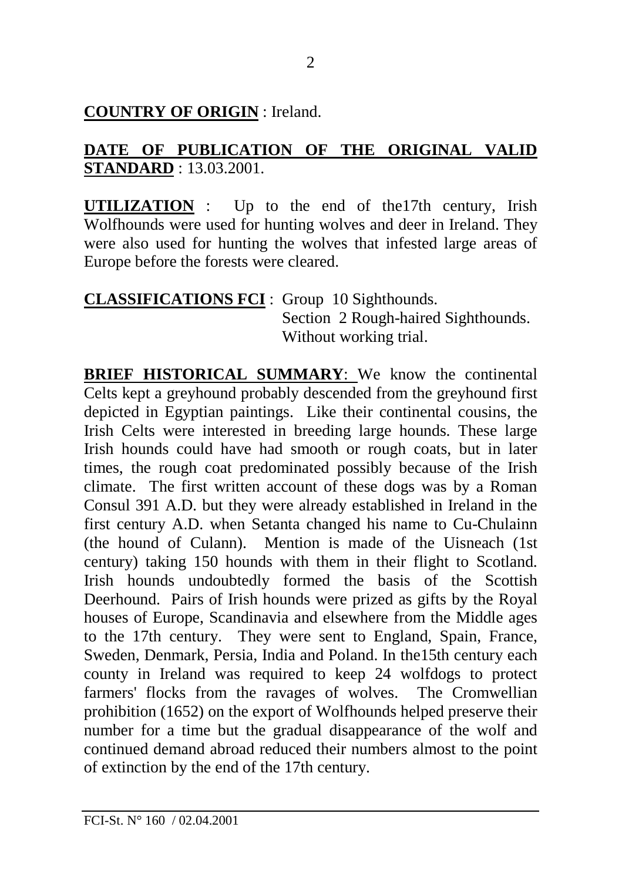#### **COUNTRY OF ORIGIN** : Ireland.

#### **DATE OF PUBLICATION OF THE ORIGINAL VALID STANDARD** : 13.03.2001.

**UTILIZATION** : Up to the end of the17th century, Irish Wolfhounds were used for hunting wolves and deer in Ireland. They were also used for hunting the wolves that infested large areas of Europe before the forests were cleared.

#### **CLASSIFICATIONS FCI** : Group 10 Sighthounds. Section 2 Rough-haired Sighthounds. Without working trial.

**BRIEF HISTORICAL SUMMARY**: We know the continental Celts kept a greyhound probably descended from the greyhound first depicted in Egyptian paintings. Like their continental cousins, the Irish Celts were interested in breeding large hounds. These large Irish hounds could have had smooth or rough coats, but in later times, the rough coat predominated possibly because of the Irish climate. The first written account of these dogs was by a Roman Consul 391 A.D. but they were already established in Ireland in the first century A.D. when Setanta changed his name to Cu-Chulainn (the hound of Culann). Mention is made of the Uisneach (1st century) taking 150 hounds with them in their flight to Scotland. Irish hounds undoubtedly formed the basis of the Scottish Deerhound. Pairs of Irish hounds were prized as gifts by the Royal houses of Europe, Scandinavia and elsewhere from the Middle ages to the 17th century. They were sent to England, Spain, France, Sweden, Denmark, Persia, India and Poland. In the15th century each county in Ireland was required to keep 24 wolfdogs to protect farmers' flocks from the ravages of wolves. The Cromwellian prohibition (1652) on the export of Wolfhounds helped preserve their number for a time but the gradual disappearance of the wolf and continued demand abroad reduced their numbers almost to the point of extinction by the end of the 17th century.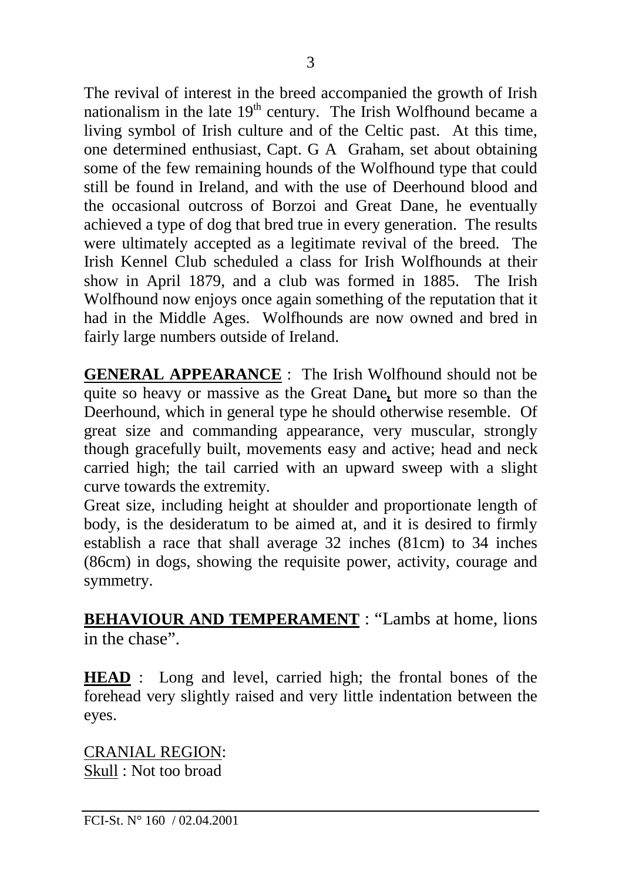The revival of interest in the breed accompanied the growth of Irish nationalism in the late  $19<sup>th</sup>$  century. The Irish Wolfhound became a living symbol of Irish culture and of the Celtic past. At this time, one determined enthusiast, Capt. G A Graham, set about obtaining some of the few remaining hounds of the Wolfhound type that could still be found in Ireland, and with the use of Deerhound blood and the occasional outcross of Borzoi and Great Dane, he eventually achieved a type of dog that bred true in every generation. The results were ultimately accepted as a legitimate revival of the breed. The Irish Kennel Club scheduled a class for Irish Wolfhounds at their show in April 1879, and a club was formed in 1885. The Irish Wolfhound now enjoys once again something of the reputation that it had in the Middle Ages. Wolfhounds are now owned and bred in fairly large numbers outside of Ireland.

**GENERAL APPEARANCE** : The Irish Wolfhound should not be quite so heavy or massive as the Great Dane*,* but more so than the Deerhound, which in general type he should otherwise resemble. Of great size and commanding appearance, very muscular, strongly though gracefully built, movements easy and active; head and neck carried high; the tail carried with an upward sweep with a slight curve towards the extremity.

Great size, including height at shoulder and proportionate length of body, is the desideratum to be aimed at, and it is desired to firmly establish a race that shall average 32 inches (81cm) to 34 inches (86cm) in dogs, showing the requisite power, activity, courage and symmetry.

**BEHAVIOUR AND TEMPERAMENT** : "Lambs at home, lions in the chase".

**HEAD** : Long and level, carried high; the frontal bones of the forehead very slightly raised and very little indentation between the eyes.

CRANIAL REGION: Skull : Not too broad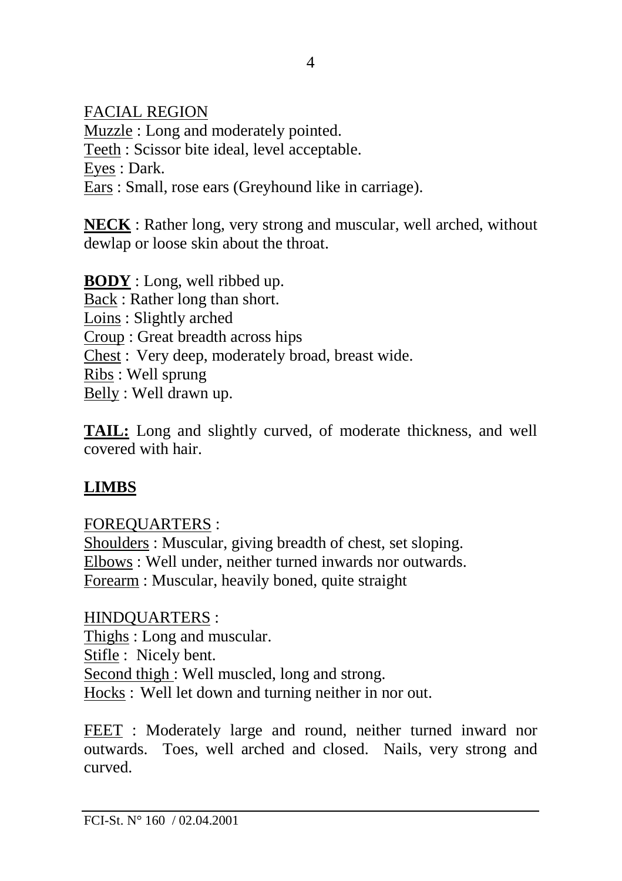FACIAL REGION

Muzzle : Long and moderately pointed. Teeth : Scissor bite ideal, level acceptable. Eyes : Dark. Ears : Small, rose ears (Greyhound like in carriage).

**NECK** : Rather long, very strong and muscular, well arched, without dewlap or loose skin about the throat.

**BODY** : Long, well ribbed up. Back : Rather long than short. Loins : Slightly arched Croup : Great breadth across hips Chest : Very deep, moderately broad, breast wide. Ribs : Well sprung Belly : Well drawn up.

**TAIL:** Long and slightly curved, of moderate thickness, and well covered with hair.

## **LIMBS**

## FOREQUARTERS :

Shoulders : Muscular, giving breadth of chest, set sloping. Elbows : Well under, neither turned inwards nor outwards. Forearm : Muscular, heavily boned, quite straight

HINDQUARTERS : Thighs : Long and muscular. Stifle : Nicely bent. Second thigh : Well muscled, long and strong. Hocks : Well let down and turning neither in nor out.

FEET : Moderately large and round, neither turned inward nor outwards. Toes, well arched and closed. Nails, very strong and curved.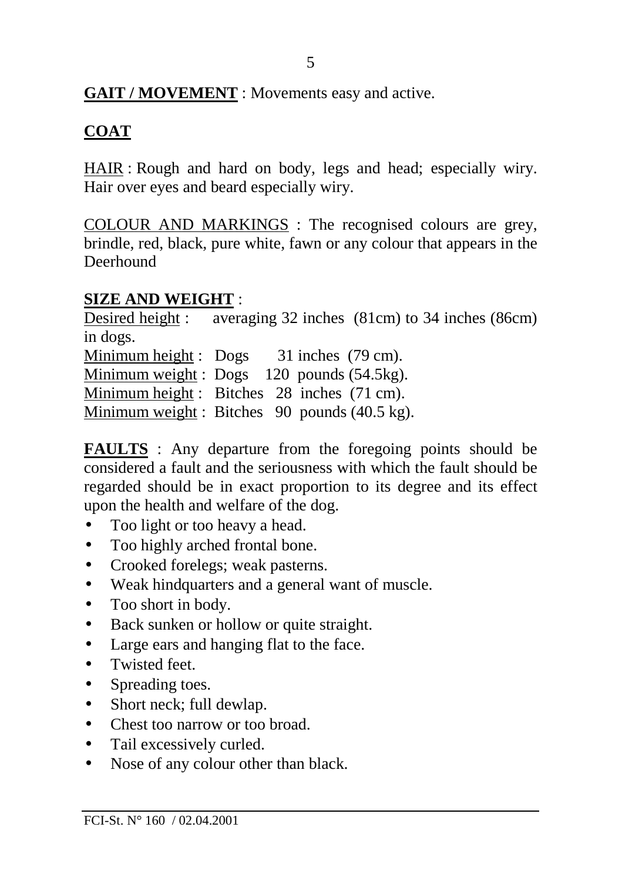### **GAIT / MOVEMENT** : Movements easy and active.

## **COAT**

HAIR : Rough and hard on body, legs and head; especially wiry. Hair over eyes and beard especially wiry.

COLOUR AND MARKINGS : The recognised colours are grey, brindle, red, black, pure white, fawn or any colour that appears in the Deerhound

## **SIZE AND WEIGHT** :

Desired height : averaging 32 inches (81cm) to 34 inches (86cm) in dogs. Minimum height : Dogs 31 inches (79 cm). Minimum weight : Dogs 120 pounds (54.5kg). Minimum height :Bitches 28 inches (71 cm). Minimum weight : Bitches 90 pounds (40.5 kg).

**FAULTS** : Any departure from the foregoing points should be considered a fault and the seriousness with which the fault should be regarded should be in exact proportion to its degree and its effect upon the health and welfare of the dog.

- Too light or too heavy a head.
- Too highly arched frontal bone.
- Crooked forelegs; weak pasterns.
- Weak hindquarters and a general want of muscle.
- Too short in body.
- Back sunken or hollow or quite straight.
- Large ears and hanging flat to the face.
- Twisted feet.
- Spreading toes.
- Short neck; full dewlap.
- Chest too narrow or too broad.
- Tail excessively curled.
- Nose of any colour other than black.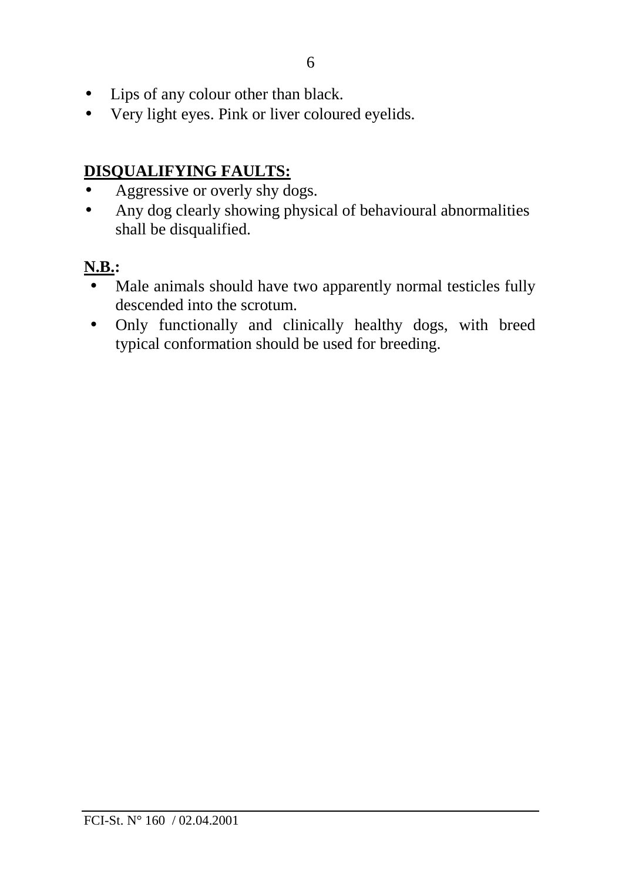- Lips of any colour other than black.
- Very light eyes. Pink or liver coloured eyelids.

## **DISQUALIFYING FAULTS:**

- Aggressive or overly shy dogs.
- Any dog clearly showing physical of behavioural abnormalities shall be disqualified.

## **N.B.:**

- Male animals should have two apparently normal testicles fully descended into the scrotum.
- Only functionally and clinically healthy dogs, with breed typical conformation should be used for breeding.